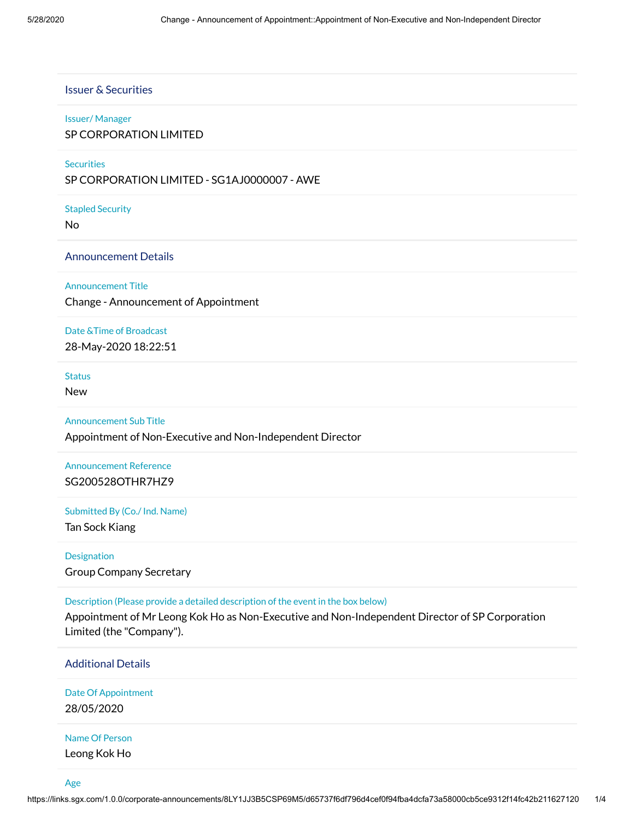#### Issuer & Securities

#### Issuer/ Manager

#### SP CORPORATION LIMITED

#### **Securities**

SP CORPORATION LIMITED - SG1AJ0000007 - AWE

Stapled Security

No

#### Announcement Details

#### Announcement Title

Change - Announcement of Appointment

#### Date &Time of Broadcast

28-May-2020 18:22:51

#### **Status**

New

#### Announcement Sub Title

Appointment of Non-Executive and Non-Independent Director

## Announcement Reference SG200528OTHR7HZ9

#### Submitted By (Co./ Ind. Name)

Tan Sock Kiang

## Designation Group Company Secretary

Description (Please provide a detailed description of the event in the box below)

Appointment of Mr Leong Kok Ho as Non-Executive and Non-Independent Director of SP Corporation Limited (the "Company").

#### Additional Details

Date Of Appointment 28/05/2020

#### Name Of Person

Leong Kok Ho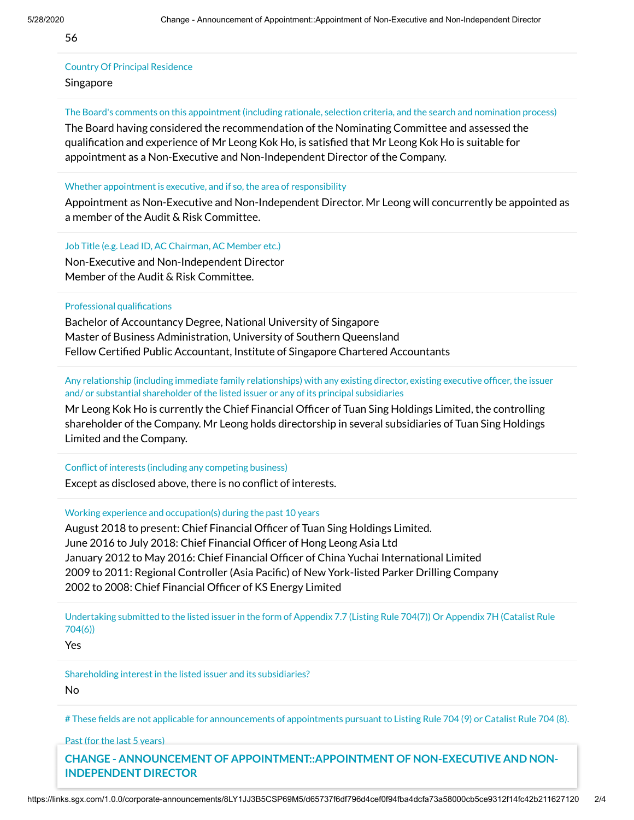56

# Country Of Principal Residence

## Singapore

The Board's comments on this appointment (including rationale, selection criteria, and the search and nomination process)

The Board having considered the recommendation of the Nominating Committee and assessed the qualification and experience of Mr Leong Kok Ho, is satisfied that Mr Leong Kok Ho is suitable for appointment as a Non-Executive and Non-Independent Director of the Company.

#### Whether appointment is executive, and if so, the area of responsibility

Appointment as Non-Executive and Non-Independent Director. Mr Leong will concurrently be appointed as a member of the Audit & Risk Committee.

Job Title (e.g. Lead ID, AC Chairman, AC Member etc.)

Non-Executive and Non-Independent Director Member of the Audit & Risk Committee.

Professional qualifications

Bachelor of Accountancy Degree, National University of Singapore Master of Business Administration, University of Southern Queensland Fellow Certified Public Accountant, Institute of Singapore Chartered Accountants

Any relationship (including immediate family relationships) with any existing director, existing executive officer, the issuer and/ or substantial shareholder of the listed issuer or any of its principal subsidiaries

Mr Leong Kok Ho is currently the Chief Financial Officer of Tuan Sing Holdings Limited, the controlling shareholder of the Company. Mr Leong holds directorship in several subsidiaries of Tuan Sing Holdings Limited and the Company.

Conflict of interests (including any competing business)

Except as disclosed above, there is no conflict of interests.

Working experience and occupation(s) during the past 10 years

August 2018 to present: Chief Financial Officer of Tuan Sing Holdings Limited. June 2016 to July 2018: Chief Financial Officer of Hong Leong Asia Ltd January 2012 to May 2016: Chief Financial Officer of China Yuchai International Limited 2009 to 2011: Regional Controller (Asia Pacific) of New York-listed Parker Drilling Company 2002 to 2008: Chief Financial Officer of KS Energy Limited

Undertaking submitted to the listed issuer in the form of Appendix 7.7 (Listing Rule 704(7)) Or Appendix 7H (Catalist Rule 704(6))

Yes

Shareholding interest in the listed issuer and its subsidiaries?

No

# These fields are not applicable for announcements of appointments pursuant to Listing Rule 704 (9) or Catalist Rule 704 (8).

Past (for the last 5 years)

**CHANGE - ANNOUNCEMENT OF APPOINTMENT:: APPOINTMENT OF NON-EXECUTIVE AND NON-INDEPENDENT DIRECTOR**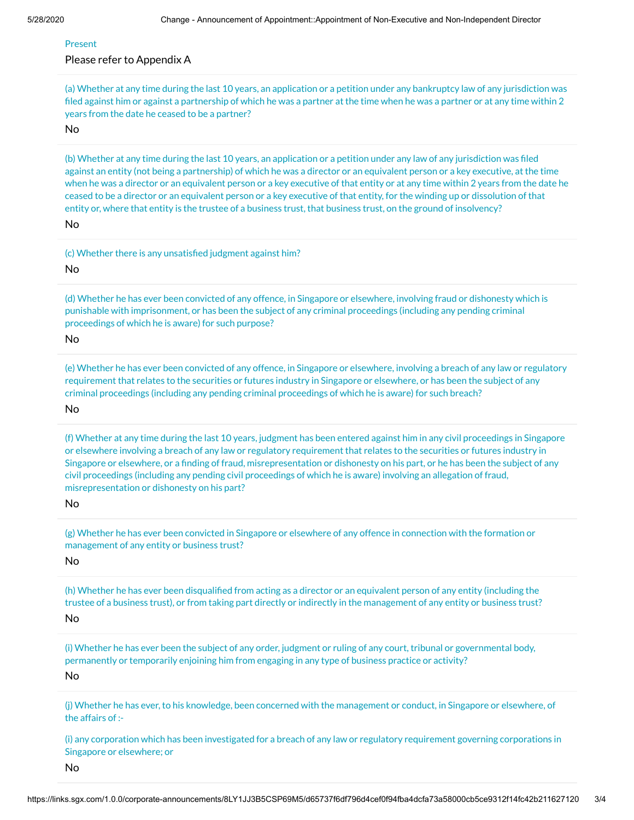#### Present

#### Please refer to Appendix A

(a) Whether at any time during the last 10 years, an application or a petition under any bankruptcy law of any jurisdiction was filed against him or against a partnership of which he was a partner at the time when he was a partner or at any time within 2 years from the date he ceased to be a partner?

No

(b) Whether at any time during the last 10 years, an application or a petition under any law of any jurisdiction was filed against an entity (not being a partnership) of which he was a director or an equivalent person or a key executive, at the time when he was a director or an equivalent person or a key executive of that entity or at any time within 2 years from the date he ceased to be a director or an equivalent person or a key executive of that entity, for the winding up or dissolution of that entity or, where that entity is the trustee of a business trust, that business trust, on the ground of insolvency? No

(c) Whether there is any unsatisfied judgment against him?

No

(d) Whether he has ever been convicted of any offence, in Singapore or elsewhere, involving fraud or dishonesty which is punishable with imprisonment, or has been the subject of any criminal proceedings (including any pending criminal proceedings of which he is aware) for such purpose?

No

(e) Whether he has ever been convicted of any offence, in Singapore or elsewhere, involving a breach of any law or regulatory requirement that relates to the securities or futures industry in Singapore or elsewhere, or has been the subject of any criminal proceedings (including any pending criminal proceedings of which he is aware) for such breach?

No

(f) Whether at any time during the last 10 years, judgment has been entered against him in any civil proceedings in Singapore or elsewhere involving a breach of any law or regulatory requirement that relates to the securities or futures industry in Singapore or elsewhere, or a finding of fraud, misrepresentation or dishonesty on his part, or he has been the subject of any civil proceedings (including any pending civil proceedings of which he is aware) involving an allegation of fraud, misrepresentation or dishonesty on his part?

No

(g) Whether he has ever been convicted in Singapore or elsewhere of any offence in connection with the formation or management of any entity or business trust?

No

(h) Whether he has ever been disqualified from acting as a director or an equivalent person of any entity (including the trustee of a business trust), or from taking part directly or indirectly in the management of any entity or business trust? No

(i) Whether he has ever been the subject of any order, judgment or ruling of any court, tribunal or governmental body, permanently or temporarily enjoining him from engaging in any type of business practice or activity?

No

(j) Whether he has ever, to his knowledge, been concerned with the management or conduct, in Singapore or elsewhere, of the affairs of :-

(i) any corporation which has been investigated for a breach of any law or regulatory requirement governing corporations in Singapore or elsewhere; or

No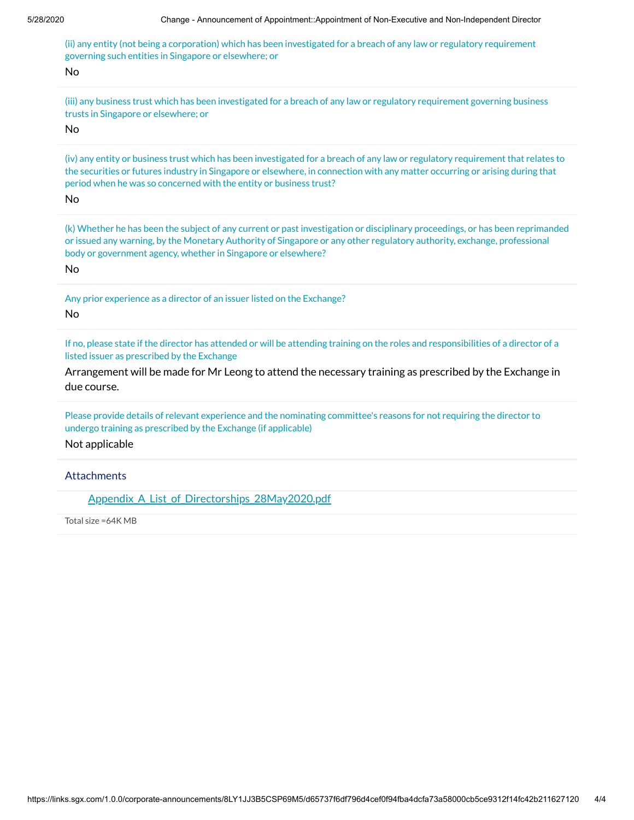(ii) any entity (not being a corporation) which has been investigated for a breach of any law or regulatory requirement governing such entities in Singapore or elsewhere; or

No

(iii) any business trust which has been investigated for a breach of any law or regulatory requirement governing business trusts in Singapore or elsewhere; or

No

(iv) any entity or business trust which has been investigated for a breach of any law or regulatory requirement that relates to the securities or futures industry in Singapore or elsewhere, in connection with any matter occurring or arising during that period when he was so concerned with the entity or business trust?

No

(k) Whether he has been the subject of any current or past investigation or disciplinary proceedings, or has been reprimanded or issued any warning, by the Monetary Authority of Singapore or any other regulatory authority, exchange, professional body or government agency, whether in Singapore or elsewhere?

No

Any prior experience as a director of an issuer listed on the Exchange?

No

If no, please state if the director has attended or will be attending training on the roles and responsibilities of a director of a listed issuer as prescribed by the Exchange

Arrangement will be made for Mr Leong to attend the necessary training as prescribed by the Exchange in due course.

Please provide details of relevant experience and the nominating committee's reasons for not requiring the director to undergo training as prescribed by the Exchange (if applicable)

Not applicable

**Attachments** 

Appendix A List of Directorships 28May2020.pdf

Total size =64K MB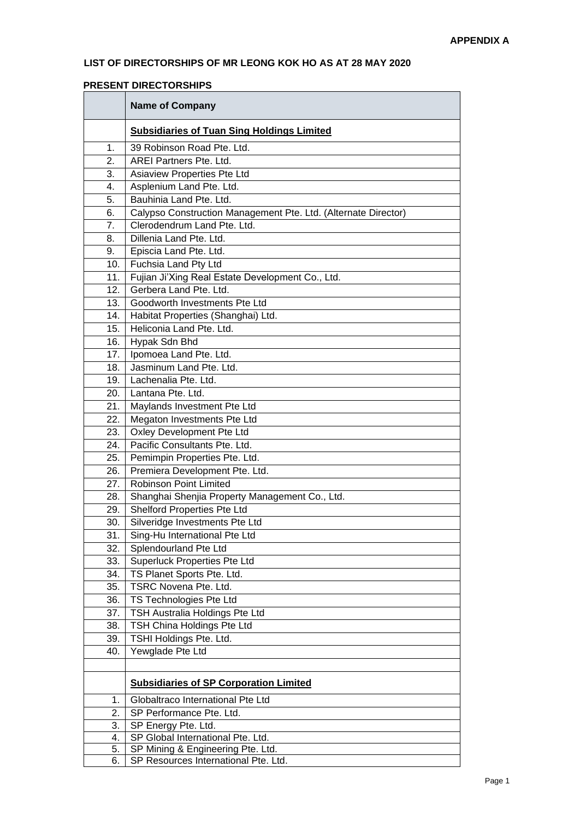## **LIST OF DIRECTORSHIPS OF MR LEONG KOK HO AS AT 28 MAY 2020**

### **PRESENT DIRECTORSHIPS**

|     | <b>Name of Company</b>                                         |  |  |
|-----|----------------------------------------------------------------|--|--|
|     | <b>Subsidiaries of Tuan Sing Holdings Limited</b>              |  |  |
| 1.  | 39 Robinson Road Pte. Ltd.                                     |  |  |
| 2.  | AREI Partners Pte. Ltd.                                        |  |  |
| 3.  | Asiaview Properties Pte Ltd                                    |  |  |
| 4.  | Asplenium Land Pte. Ltd.                                       |  |  |
| 5.  | Bauhinia Land Pte. Ltd.                                        |  |  |
| 6.  | Calypso Construction Management Pte. Ltd. (Alternate Director) |  |  |
| 7.  | Clerodendrum Land Pte. Ltd.                                    |  |  |
| 8.  | Dillenia Land Pte. Ltd.                                        |  |  |
| 9.  | Episcia Land Pte. Ltd.                                         |  |  |
| 10. | Fuchsia Land Pty Ltd                                           |  |  |
| 11. | Fujian Ji'Xing Real Estate Development Co., Ltd.               |  |  |
| 12. | Gerbera Land Pte. Ltd.                                         |  |  |
| 13. | Goodworth Investments Pte Ltd                                  |  |  |
| 14. | Habitat Properties (Shanghai) Ltd.                             |  |  |
| 15. | Heliconia Land Pte. Ltd.                                       |  |  |
| 16. | Hypak Sdn Bhd                                                  |  |  |
| 17. | Ipomoea Land Pte. Ltd.                                         |  |  |
| 18. | Jasminum Land Pte. Ltd.                                        |  |  |
| 19. | Lachenalia Pte. Ltd.                                           |  |  |
| 20. | Lantana Pte. Ltd.                                              |  |  |
| 21. | Maylands Investment Pte Ltd                                    |  |  |
| 22. | Megaton Investments Pte Ltd                                    |  |  |
| 23. | Oxley Development Pte Ltd                                      |  |  |
| 24. | Pacific Consultants Pte. Ltd.                                  |  |  |
| 25. | Pemimpin Properties Pte. Ltd.                                  |  |  |
| 26. | Premiera Development Pte. Ltd.                                 |  |  |
| 27. | <b>Robinson Point Limited</b>                                  |  |  |
| 28. | Shanghai Shenjia Property Management Co., Ltd.                 |  |  |
| 29. | Shelford Properties Pte Ltd                                    |  |  |
| 30. | Silveridge Investments Pte Ltd                                 |  |  |
| 31. | Sing-Hu International Pte Ltd                                  |  |  |
| 32. | Splendourland Pte Ltd                                          |  |  |
| 33. | <b>Superluck Properties Pte Ltd</b>                            |  |  |
| 34. | TS Planet Sports Pte. Ltd.                                     |  |  |
| 35. | TSRC Novena Pte. Ltd.                                          |  |  |
| 36. | TS Technologies Pte Ltd                                        |  |  |
| 37. | TSH Australia Holdings Pte Ltd                                 |  |  |
| 38. | TSH China Holdings Pte Ltd                                     |  |  |
| 39. | TSHI Holdings Pte. Ltd.                                        |  |  |
| 40. | Yewglade Pte Ltd                                               |  |  |
|     |                                                                |  |  |
|     | <b>Subsidiaries of SP Corporation Limited</b>                  |  |  |
| 1.  | Globaltraco International Pte Ltd                              |  |  |
| 2.  | SP Performance Pte. Ltd.                                       |  |  |
| 3.  | SP Energy Pte. Ltd.                                            |  |  |
| 4.  | SP Global International Pte. Ltd.                              |  |  |
| 5.  | SP Mining & Engineering Pte. Ltd.                              |  |  |
| 6.  | SP Resources International Pte. Ltd.                           |  |  |